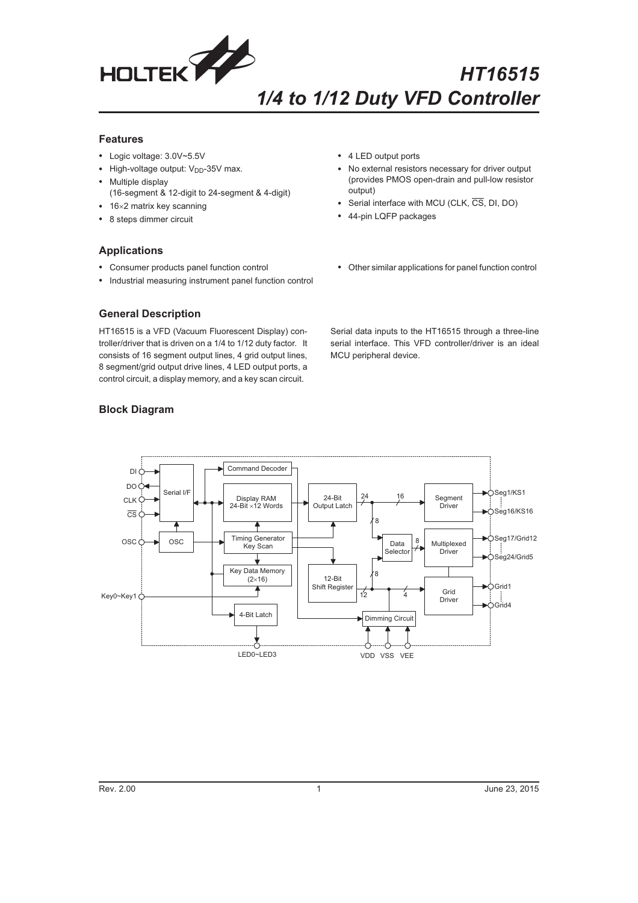

## **Features**

- Logic voltage: 3.0V~5.5V
- High-voltage output: V<sub>DD</sub>-35V max.
- $\bullet$  Multiple display
	- (16-segment & 12-digit to 24-segment & 4-digit)
- 16×2 matrix key scanning
- 8 steps dimmer circuit
- 4 LED output ports
- $\bullet$  No external resistors necessary for driver output (provides PMOS open-drain and pull-low resistor output)
- Serial interface with MCU (CLK, CS, DI, DO)
- 44-pin LQFP packages
- $\bullet$ Other similar applications for panel function control

# **Applications**

- Consumer products panel function control
- Industrial measuring instrument panel function control

# **General Description**

HT16515 is a VFD (Vacuum Fluorescent Display) controller/driver that is driven on a 1/4 to 1/12 duty factor. It consists of 16 segment output lines, 4 grid output lines, 8 segment/grid output drive lines, 4 LED output ports, a control circuit, a display memory, and a key scan circuit.

Serial data inputs to the HT16515 through a three-line serial interface. This VFD controller/driver is an ideal MCU peripheral device.



# **Block Diagram**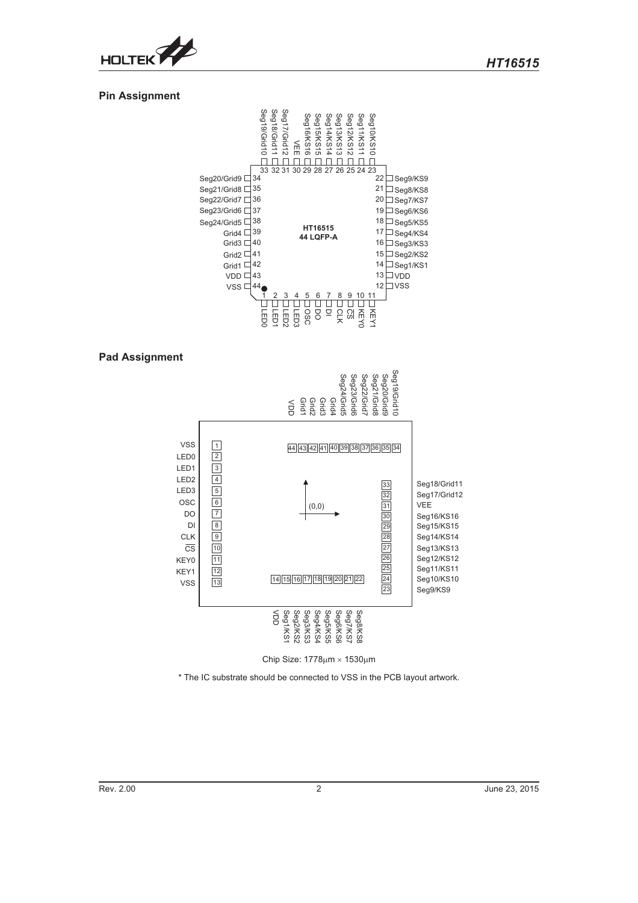

# **Pin Assignment**



### **Pad Assignment**



Chip Size:  $1778 \mu m \times 1530 \mu m$ 

\* The IC substrate should be connected to VSS in the PCB layout artwork.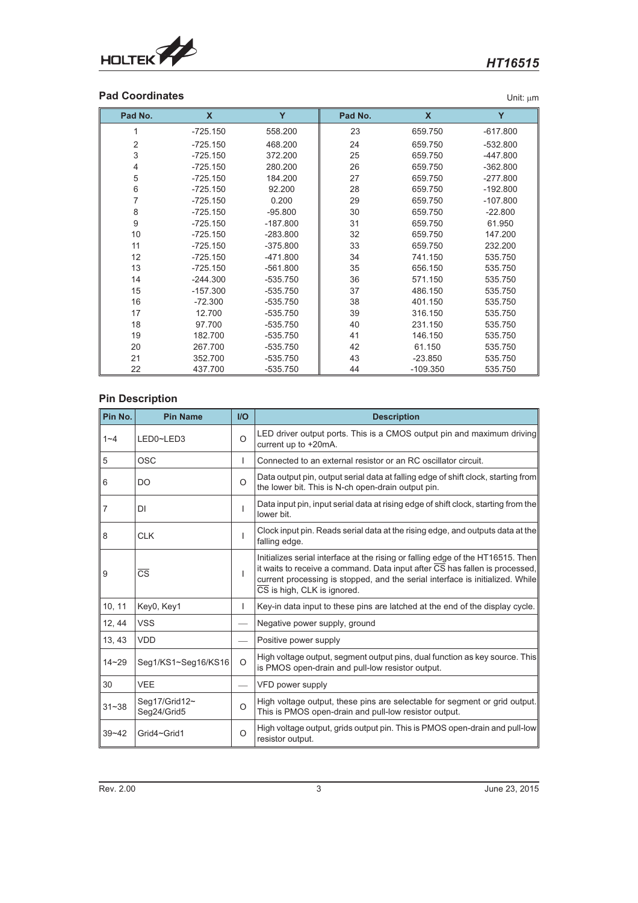

# **Pad Coordinates** Unit:  $\mu$ m

| Pad No.        | X          | Y          | Pad No. | $\boldsymbol{\mathsf{x}}$ | Y          |
|----------------|------------|------------|---------|---------------------------|------------|
| 1              | $-725.150$ | 558.200    | 23      | 659.750                   | $-617.800$ |
| $\overline{2}$ | $-725.150$ | 468.200    | 24      | 659.750                   | $-532.800$ |
| 3              | $-725.150$ | 372.200    | 25      | 659.750                   | $-447.800$ |
| 4              | $-725.150$ | 280.200    | 26      | 659.750                   | $-362.800$ |
| 5              | $-725.150$ | 184.200    | 27      | 659.750                   | $-277.800$ |
| 6              | $-725.150$ | 92.200     | 28      | 659.750                   | $-192.800$ |
| 7              | $-725.150$ | 0.200      | 29      | 659.750                   | $-107.800$ |
| 8              | $-725.150$ | $-95.800$  | 30      | 659.750                   | $-22.800$  |
| 9              | $-725.150$ | $-187.800$ | 31      | 659.750                   | 61.950     |
| 10             | $-725.150$ | $-283.800$ | 32      | 659.750                   | 147.200    |
| 11             | $-725.150$ | $-375.800$ | 33      | 659.750                   | 232.200    |
| 12             | $-725.150$ | -471.800   | 34      | 741.150                   | 535.750    |
| 13             | $-725.150$ | $-561.800$ | 35      | 656.150                   | 535.750    |
| 14             | $-244.300$ | -535.750   | 36      | 571.150                   | 535.750    |
| 15             | $-157.300$ | -535.750   | 37      | 486.150                   | 535.750    |
| 16             | $-72.300$  | -535.750   | 38      | 401.150                   | 535.750    |
| 17             | 12.700     | -535.750   | 39      | 316.150                   | 535.750    |
| 18             | 97.700     | -535.750   | 40      | 231.150                   | 535.750    |
| 19             | 182.700    | -535.750   | 41      | 146.150                   | 535.750    |
| 20             | 267.700    | -535.750   | 42      | 61.150                    | 535.750    |
| 21             | 352.700    | -535.750   | 43      | $-23.850$                 | 535.750    |
| 22             | 437.700    | -535.750   | 44      | $-109.350$                | 535.750    |

# **Pin Description**

| Pin No.        | <b>Pin Name</b>              | $II$     | <b>Description</b>                                                                                                                                                                                                                                                             |
|----------------|------------------------------|----------|--------------------------------------------------------------------------------------------------------------------------------------------------------------------------------------------------------------------------------------------------------------------------------|
| $1 - 4$        | LED0~LED3                    | $\Omega$ | LED driver output ports. This is a CMOS output pin and maximum driving<br>current up to +20mA.                                                                                                                                                                                 |
| 5              | OSC                          | L        | Connected to an external resistor or an RC oscillator circuit.                                                                                                                                                                                                                 |
| 6              | DO                           | $\circ$  | Data output pin, output serial data at falling edge of shift clock, starting from<br>the lower bit. This is N-ch open-drain output pin.                                                                                                                                        |
| $\overline{7}$ | DI                           | T        | Data input pin, input serial data at rising edge of shift clock, starting from the<br>lower bit.                                                                                                                                                                               |
| 8              | <b>CLK</b>                   | I.       | Clock input pin. Reads serial data at the rising edge, and outputs data at the<br>falling edge.                                                                                                                                                                                |
| 9              | $\overline{\text{CS}}$       | L        | Initializes serial interface at the rising or falling edge of the HT16515. Then<br>it waits to receive a command. Data input after CS has fallen is processed,<br>current processing is stopped, and the serial interface is initialized. While<br>CS is high, CLK is ignored. |
| 10, 11         | Key0, Key1                   | T        | Key-in data input to these pins are latched at the end of the display cycle.                                                                                                                                                                                                   |
| 12, 44         | <b>VSS</b>                   |          | Negative power supply, ground                                                                                                                                                                                                                                                  |
| 13, 43         | <b>VDD</b>                   |          | Positive power supply                                                                                                                                                                                                                                                          |
| $14 - 29$      | Seg1/KS1~Seg16/KS16          | $\circ$  | High voltage output, segment output pins, dual function as key source. This<br>is PMOS open-drain and pull-low resistor output.                                                                                                                                                |
| 30             | <b>VEE</b>                   |          | VFD power supply                                                                                                                                                                                                                                                               |
| $31 - 38$      | Seg17/Grid12~<br>Seg24/Grid5 | $\circ$  | High voltage output, these pins are selectable for segment or grid output.<br>This is PMOS open-drain and pull-low resistor output.                                                                                                                                            |
| $39 - 42$      | Grid4~Grid1                  | $\circ$  | High voltage output, grids output pin. This is PMOS open-drain and pull-low<br>resistor output.                                                                                                                                                                                |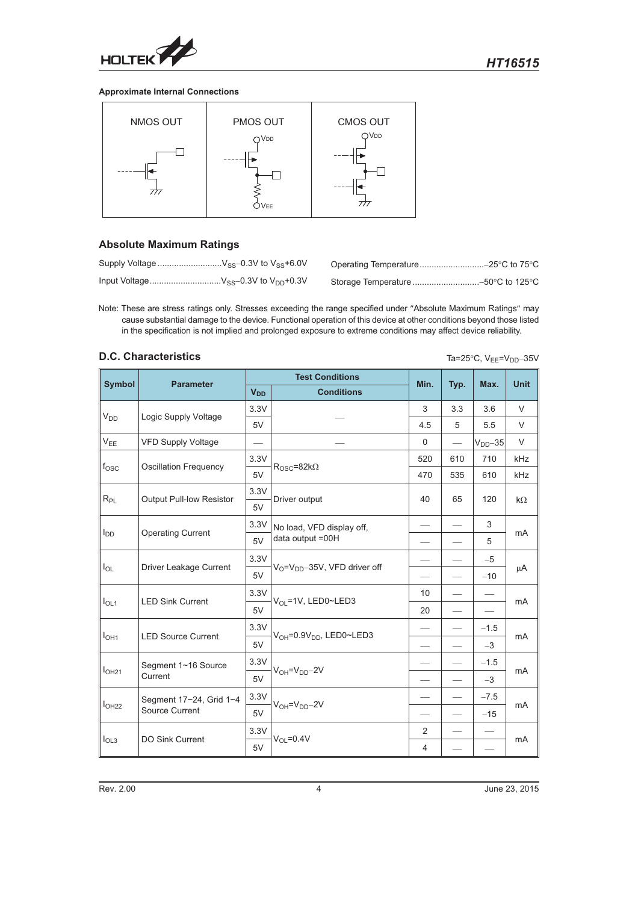

### **Approximate Internal Connections**



# **Absolute Maximum Ratings**

Note: These are stress ratings only. Stresses exceeding the range specified under "Absolute Maximum Ratings" may cause substantial damage to the device. Functional operation of this device at other conditions beyond those listed in the specification is not implied and prolonged exposure to extreme conditions may affect device reliability.

# **D.C. Characteristics** Ta=25°C, V<sub>EE</sub>=V<sub>DD</sub>-35V

|                                   |                                 |                       | <b>Test Conditions</b>                |                          |      |            |                |
|-----------------------------------|---------------------------------|-----------------------|---------------------------------------|--------------------------|------|------------|----------------|
| <b>Symbol</b><br><b>Parameter</b> |                                 | <b>V<sub>DD</sub></b> | <b>Conditions</b>                     | Min.                     | Typ. | Max.       | <b>Unit</b>    |
|                                   |                                 | 3.3V                  |                                       | 3                        | 3.3  | 3.6        | $\vee$         |
| $V_{DD}$<br>Logic Supply Voltage  |                                 | 5V                    |                                       | 4.5                      | 5    | 5.5        | $\vee$         |
| $V_{EE}$                          | VFD Supply Voltage              |                       |                                       | $\mathbf 0$              |      | $VDD - 35$ | $\vee$         |
|                                   |                                 | 3.3V                  |                                       | 520                      | 610  | 710        | kHz            |
| $f_{\rm OSC}$                     | <b>Oscillation Frequency</b>    | 5V                    | $R_{\rm OSC} = 82k\Omega$             | 470                      | 535  | 610        | kHz            |
|                                   |                                 | 3.3V                  |                                       |                          |      |            |                |
| $R_{\mathsf{PL}}$                 | <b>Output Pull-low Resistor</b> | 5V                    | Driver output                         | 40                       | 65   | 120        | $k\Omega$      |
|                                   |                                 | 3.3V                  | No load, VFD display off,             |                          | 3    |            |                |
| $I_{DD}$                          | <b>Operating Current</b><br>5V  | data output =00H      |                                       |                          | 5    | mA         |                |
|                                   |                                 | 3.3V                  |                                       |                          |      | $-5$       | μA             |
| $I_{OL}$                          | Driver Leakage Current          | 5V                    | $V_O = V_{DD} - 35V$ , VFD driver off |                          |      | $-10$      |                |
|                                   |                                 | 3.3V                  |                                       | 10                       |      |            | m <sub>A</sub> |
| I <sub>OL1</sub>                  | <b>LED Sink Current</b>         | 5V                    | V <sub>OL</sub> =1V, LED0~LED3        | 20                       |      |            |                |
|                                   |                                 | 3.3V                  |                                       |                          |      | $-1.5$     |                |
| I <sub>OH1</sub>                  | <b>LED Source Current</b>       | 5V                    | $V_{OH} = 0.9V_{DD}$ , LED0~LED3      |                          |      | $-3$       | m <sub>A</sub> |
|                                   | Segment 1~16 Source             | 3.3V                  |                                       |                          |      | $-1.5$     |                |
| I <sub>OH21</sub>                 | Current                         | 5V                    | $V_{OH} = V_{DD} - 2V$                |                          |      | $-3$       | mA             |
|                                   | Segment 17~24, Grid 1~4         | 3.3V                  |                                       |                          |      | $-7.5$     | m <sub>A</sub> |
| I <sub>OH22</sub>                 | Source Current                  | 5V                    | $V_{OH} = V_{DD} - 2V$                | $\overline{\phantom{0}}$ |      | $-15$      |                |
|                                   |                                 | 3.3V                  |                                       | 2                        |      |            |                |
| I <sub>OL3</sub>                  | <b>DO Sink Current</b>          | 5V                    | $V_{OL} = 0.4V$                       | 4                        |      |            | mA             |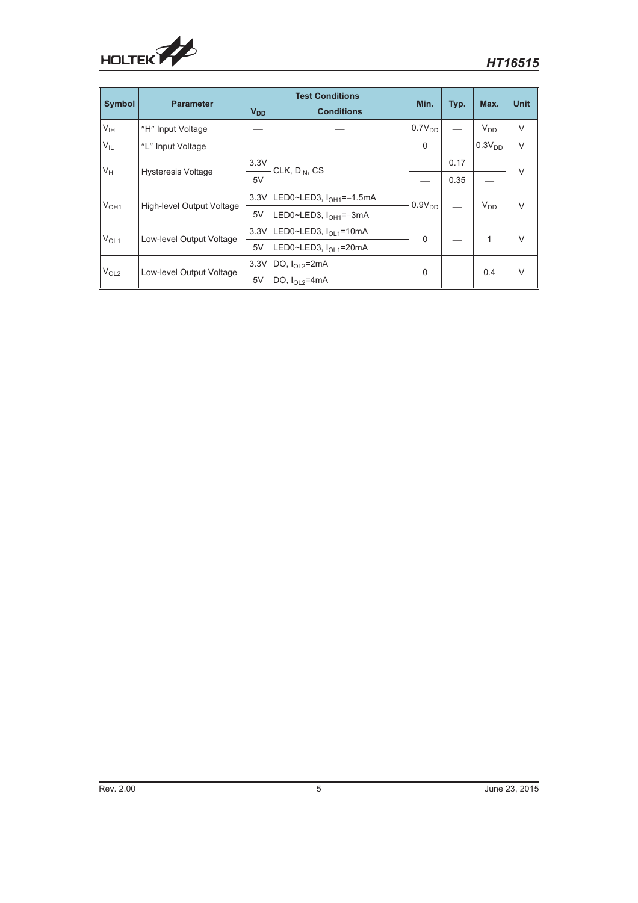

| <b>Symbol</b>    | <b>Parameter</b>          |                 | <b>Test Conditions</b>                   | Min.               |      | Max.               | <b>Unit</b> |
|------------------|---------------------------|-----------------|------------------------------------------|--------------------|------|--------------------|-------------|
|                  |                           | V <sub>DD</sub> | <b>Conditions</b>                        |                    | Typ. |                    |             |
| V <sub>IH</sub>  | "H" Input Voltage         |                 |                                          | 0.7V <sub>DD</sub> |      | $V_{DD}$           | V           |
| $V_{IL}$         | "L" Input Voltage         |                 |                                          |                    |      | 0.3V <sub>DD</sub> | V           |
|                  |                           | 3.3V            | CLK, $D_{IN}$ , $\overline{CS}$          |                    | 0.17 |                    | $\vee$      |
| $V_H$            | <b>Hysteresis Voltage</b> | 5V              |                                          |                    | 0.35 |                    |             |
|                  |                           |                 | 3.3V LED0~LED3, I <sub>OH1</sub> =-1.5mA | $0.9V_{DD}$        |      | $V_{DD}$           | $\vee$      |
| V <sub>OH1</sub> | High-level Output Voltage | 5V              | LED0~LED3, I <sub>OH1</sub> =-3mA        |                    |      |                    |             |
|                  |                           | 3.3V            | LED0~LED3, I <sub>OL1</sub> =10mA        | $\Omega$           |      | 1                  | $\vee$      |
| V <sub>OL1</sub> | Low-level Output Voltage  | 5V              | LED0~LED3, I <sub>OL1</sub> =20mA        |                    |      |                    |             |
|                  | Low-level Output Voltage  | 3.3V            | DO, $I_{\Omega}$ $_{2}$ =2mA             | $\Omega$           |      | 0.4                | $\vee$      |
| V <sub>OL2</sub> |                           | 5V              | DO, $I_{\Omega}$ $_{2}$ =4mA             |                    |      |                    |             |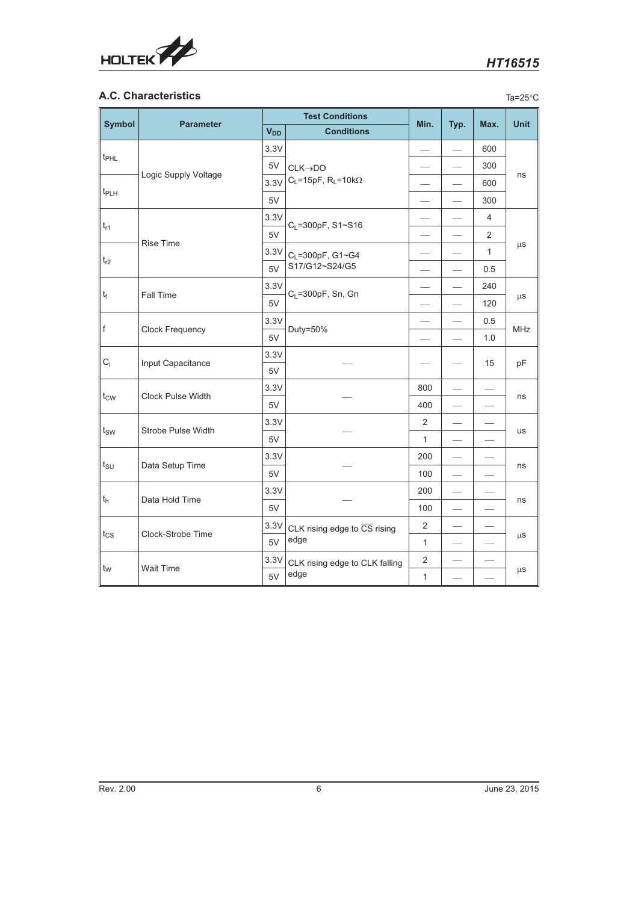

# **A.C. Characteristics** Ta=25°C

| <b>Symbol</b>                 | <b>Parameter</b>     |                       | <b>Test Conditions</b>                           | Min.<br>Typ.             |  | Max.           | <b>Unit</b> |
|-------------------------------|----------------------|-----------------------|--------------------------------------------------|--------------------------|--|----------------|-------------|
|                               |                      | <b>V<sub>DD</sub></b> | <b>Conditions</b>                                |                          |  |                |             |
| $t_{\text{PHL}}$<br>$t_{PLH}$ |                      | 3.3V                  |                                                  |                          |  | 600            |             |
|                               |                      | 5V                    | $CLK \rightarrow DO$                             |                          |  | 300            |             |
|                               | Logic Supply Voltage | 3.3V                  | $C_L = 15pF$ , $R_L = 10k\Omega$                 |                          |  | 600            | ns          |
|                               |                      | 5V                    |                                                  |                          |  | 300            |             |
|                               |                      | 3.3V                  | $C_L = 300pF$ , S1~S16                           |                          |  | 4              |             |
| $t_{r1}$                      | <b>Rise Time</b>     | 5V                    |                                                  |                          |  | $\overline{2}$ |             |
|                               |                      | 3.3V                  | C <sub>L</sub> =300pF, G1~G4                     |                          |  | $\mathbf{1}$   | $\mu$ S     |
| $t_{r2}$                      |                      | 5V                    | S17/G12~S24/G5                                   |                          |  | 0.5            |             |
|                               |                      | 3.3V                  |                                                  |                          |  | 240            |             |
| $ t_f $                       | <b>Fall Time</b>     | 5V                    | $C_L$ =300pF, Sn, Gn                             | $\overline{\phantom{0}}$ |  | 120            | $\mu$ S     |
| f                             | Clock Frequency      | 3.3V                  |                                                  |                          |  | 0.5            | <b>MHz</b>  |
|                               |                      | 5V                    | Duty=50%                                         |                          |  | 1.0            |             |
| $C_i$                         | Input Capacitance    | 3.3V                  |                                                  |                          |  | 15             | pF          |
|                               |                      | 5V                    |                                                  |                          |  |                |             |
| $t_{\text{CW}}$               | Clock Pulse Width    | 3.3V                  |                                                  | 800                      |  |                | ns          |
|                               |                      | 5V                    |                                                  | 400                      |  |                |             |
|                               | Strobe Pulse Width   | 3.3V                  |                                                  | $\overline{2}$           |  |                | us          |
| $t_{SW}$                      |                      | 5V                    |                                                  | $\mathbf{1}$             |  |                |             |
|                               |                      | 3.3V                  |                                                  | 200                      |  |                | ns          |
| $t_{\text{SU}}$               | Data Setup Time      | 5V                    |                                                  | 100                      |  |                |             |
|                               |                      | 3.3V                  |                                                  | 200                      |  |                |             |
| $t_h$                         | Data Hold Time       | 5V                    |                                                  | 100                      |  |                | ns          |
|                               |                      | 3.3V                  | CLK rising edge to $\overline{\text{CS}}$ rising | 2                        |  |                |             |
| $t_{CS}$                      | Clock-Strobe Time    | 5V                    | edge                                             | $\mathbf{1}$             |  |                | $\mu$ S     |
|                               |                      | 3.3V                  | CLK rising edge to CLK falling                   | $\overline{2}$           |  |                |             |
| $t_{\text{W}}$                | <b>Wait Time</b>     | 5V                    | edge                                             | 1                        |  |                | $\mu$ S     |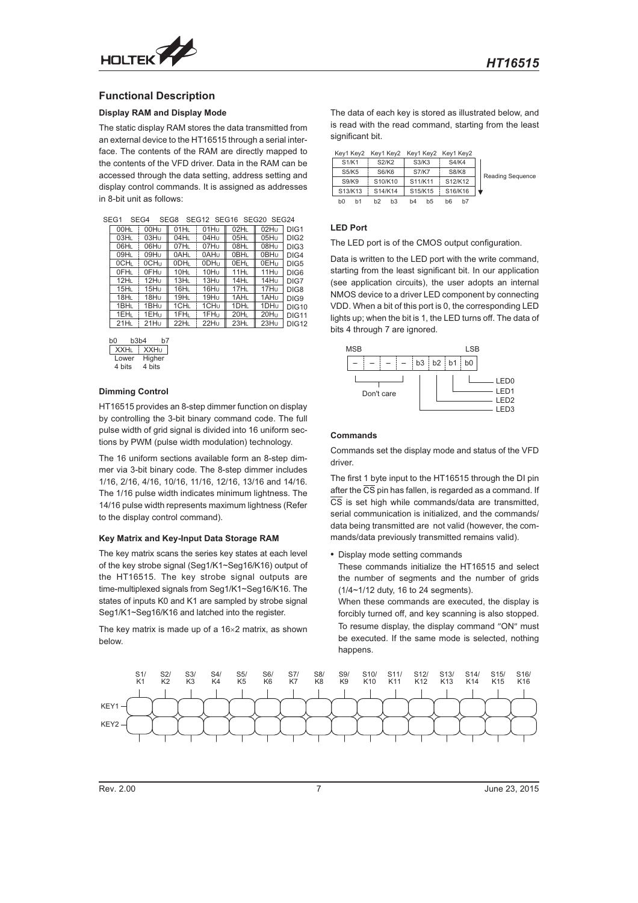

### **Functional Description**

#### **Display RAM and Display Mode**

The static display RAM stores the data transmitted from an external device to the HT16515 through a serial interface. The contents of the RAM are directly mapped to the contents of the VFD driver. Data in the RAM can be accessed through the data setting, address setting and display control commands. It is assigned as addresses in 8-bit unit as follows:

| SEG12 SEG16 SEG20 SEG24<br>SEG1<br>SEG4<br>SEG8 |                  |                  |                  |                  |                  |                  |  |  |
|-------------------------------------------------|------------------|------------------|------------------|------------------|------------------|------------------|--|--|
| 00HL                                            | 00H <sub>U</sub> | 01H <sub>L</sub> | 01Hu             | 02HL             | 02Hu             | DIG <sub>1</sub> |  |  |
| 03H <sub>L</sub>                                | 03Hu             | 04H <sub>L</sub> | 04Hu             | 05HL             | 05Hu             | DIG <sub>2</sub> |  |  |
| 06HL                                            | 06Hu             | 07HL             | 07Hu             | 08HL             | 08Hu             | DIG <sub>3</sub> |  |  |
| 09HL                                            | 09Hu             | 0AHL             | 0AHu             | 0BHL             | 0BH <sub>U</sub> | DIG4             |  |  |
| 0CHL                                            | 0CH <sub>U</sub> | ODHL             | 0DH <sub>u</sub> | 0EHL             | 0EH <sub>u</sub> | DIG <sub>5</sub> |  |  |
| OFHL                                            | 0FH <sub>U</sub> | 10H <sub>L</sub> | 10Hu             | 11H <sub>L</sub> | 11H <sub>u</sub> | DIG <sub>6</sub> |  |  |
| 12H <sub>L</sub>                                | 12H <sub>U</sub> | 13H <sub>L</sub> | 13Hu             | 14HL             | 14Hu             | DIG7             |  |  |
| 15H <sub>L</sub>                                | 15H <sub>U</sub> | 16H <sub>L</sub> | 16H <sub>U</sub> | 17H <sub>L</sub> | 17H <sub>U</sub> | DIG8             |  |  |
| 18HL                                            | 18Hu             | 19H <sub>L</sub> | 19Hu             | 1AHL             | 1AH <sub>U</sub> | DIG9             |  |  |
| 1BHL                                            | 1BH <sub>U</sub> | 1CHL             | 1CH <sub>U</sub> | 1DHL             | 1DH <sub>U</sub> | <b>DIG10</b>     |  |  |
| 1EHL                                            | 1EH <sub>u</sub> | 1FHL             | 1FH <sub>u</sub> | 20HL             | 20Hu             | <b>DIG11</b>     |  |  |
| 21H <sub>L</sub>                                | 21H <sub>U</sub> | 22HL             | 22H <sub>U</sub> | 23HL             | 23Hu             | <b>DIG12</b>     |  |  |
|                                                 |                  |                  |                  |                  |                  |                  |  |  |

| b3b4<br>h7 |
|------------|
| XXHu       |
| Higher     |
| 4 bits     |
|            |

### **Dimming Control**

HT16515 provides an 8-step dimmer function on display by controlling the 3-bit binary command code. The full pulse width of grid signal is divided into 16 uniform sections by PWM (pulse width modulation) technology.

The 16 uniform sections available form an 8-step dimmer via 3-bit binary code. The 8-step dimmer includes 1/16, 2/16, 4/16, 10/16, 11/16, 12/16, 13/16 and 14/16. The 1/16 pulse width indicates minimum lightness. The 14/16 pulse width represents maximum lightness (Refer to the display control command).

#### **Key Matrix and Key-Input Data Storage RAM**

The key matrix scans the series key states at each level of the key strobe signal (Seg1/K1~Seg16/K16) output of the HT16515. The key strobe signal outputs are time-multiplexed signals from Seg1/K1~Seg16/K16. The states of inputs K0 and K1 are sampled by strobe signal Seg1/K1~Seg16/K16 and latched into the register.

The key matrix is made up of a  $16\times2$  matrix, as shown below.

The data of each key is stored as illustrated below, and is read with the read command, starting from the least significant bit.

|          |                                  | Key1 Key2 Key1 Key2 Key1 Key2 Key1 Key2 |                      |                         |
|----------|----------------------------------|-----------------------------------------|----------------------|-------------------------|
| S1/K1    | S2/K2                            | S3/K3                                   | <b>S4/K4</b>         |                         |
| S5/K5    | S6/K6                            | <b>S7/K7</b>                            | <b>S8/K8</b>         | <b>Reading Sequence</b> |
| S9/K9    | S10/K10                          | S11/K11                                 | S12/K12              |                         |
| S13/K13  | S14/K14                          | S15/K15                                 | S16/K16              |                         |
| bO<br>h1 | h <sub>2</sub><br>b <sub>3</sub> | b4<br>b5                                | b7<br>b <sub>6</sub> |                         |

#### **LED Port**

The LED port is of the CMOS output configuration.

Data is written to the LED port with the write command, starting from the least significant bit. In our application (see application circuits), the user adopts an internal NMOS device to a driver LED component by connecting VDD. When a bit of this port is 0, the corresponding LED lights up; when the bit is 1, the LED turns off. The data of bits 4 through 7 are ignored.



#### **Commands**

Commands set the display mode and status of the VFD driver.

The first 1 byte input to the HT16515 through the DI pin after the  $\overline{CS}$  pin has fallen, is regarded as a command. If CS is set high while commands/data are transmitted, serial communication is initialized, and the commands/ data being transmitted are not valid (however, the commands/data previously transmitted remains valid).

- Display mode setting commands

These commands initialize the HT16515 and select the number of segments and the number of grids (1/4~1/12 duty, 16 to 24 segments).

When these commands are executed, the display is forcibly turned off, and key scanning is also stopped. To resume display, the display command "ON" must be executed. If the same mode is selected, nothing happens.

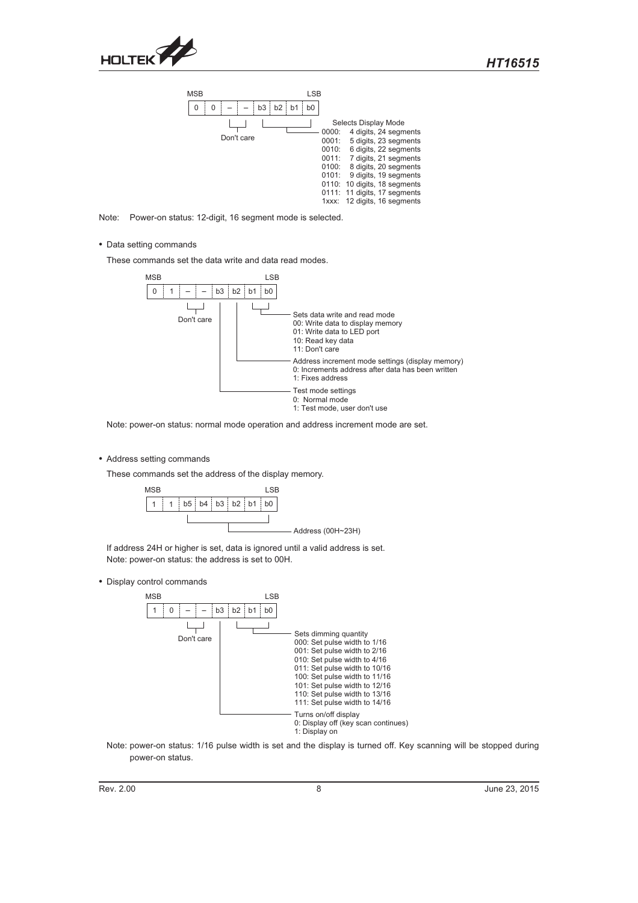

| <b>MSB</b>                                        | LSB                                                                                                                                                                                                                                                                                                                                 |
|---------------------------------------------------|-------------------------------------------------------------------------------------------------------------------------------------------------------------------------------------------------------------------------------------------------------------------------------------------------------------------------------------|
| b2:<br>b <sub>3</sub><br>b <sub>1</sub><br>0<br>0 | b <sub>0</sub>                                                                                                                                                                                                                                                                                                                      |
| Don't care                                        | Selects Display Mode<br>4 digits, 24 segments<br>0000:<br>5 digits, 23 segments<br>0001:<br>6 digits, 22 segments<br>0010:<br>7 digits, 21 segments<br>0011:<br>8 digits, 20 segments<br>0100:<br>9 digits, 19 segments<br>0101:<br>0110: 10 digits, 18 segments<br>0111: 11 digits, 17 segments<br>12 digits, 16 segments<br>1xxx: |

Note: Power-on status: 12-digit, 16 segment mode is selected.

- Data setting commands

These commands set the data write and data read modes.



Note: power-on status: normal mode operation and address increment mode are set.

• Address setting commands

These commands set the address of the display memory.



If address 24H or higher is set, data is ignored until a valid address is set. Note: power-on status: the address is set to 00H.

- Display control commands



Note: power-on status: 1/16 pulse width is set and the display is turned off. Key scanning will be stopped during power-on status.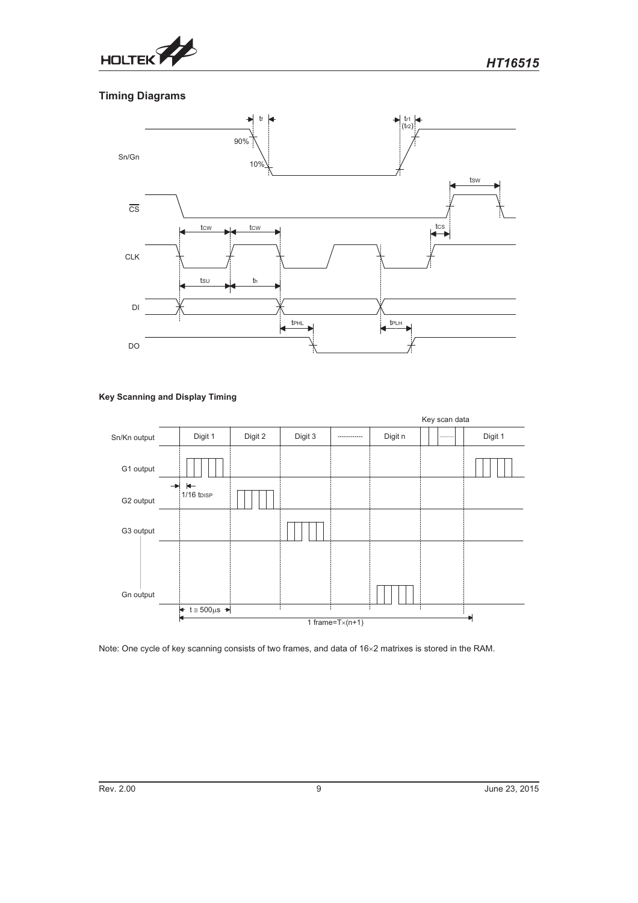

# **Timing Diagrams**



# **Key Scanning and Display Timing**



Note: One cycle of key scanning consists of two frames, and data of 16×2 matrixes is stored in the RAM.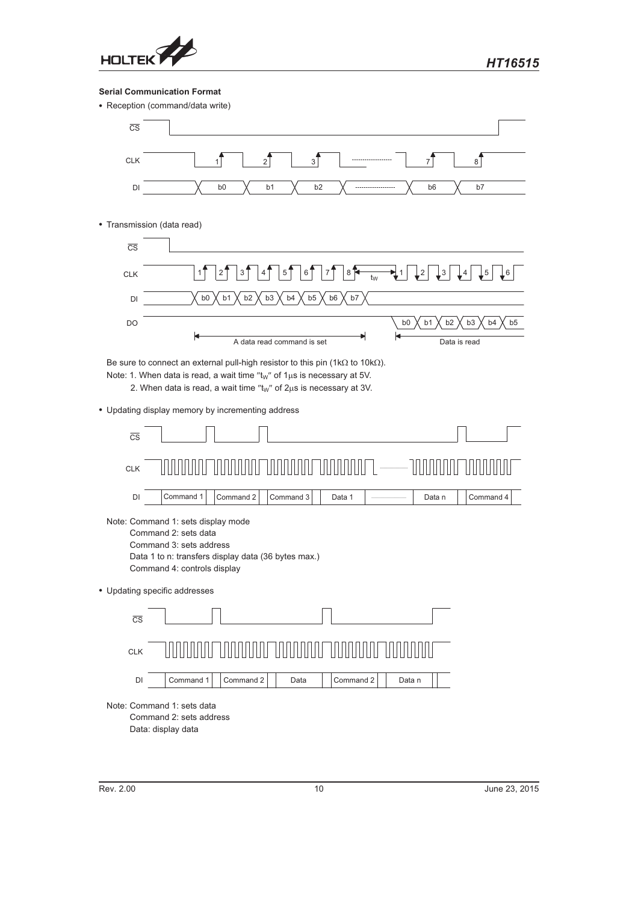

## **Serial Communication Format**

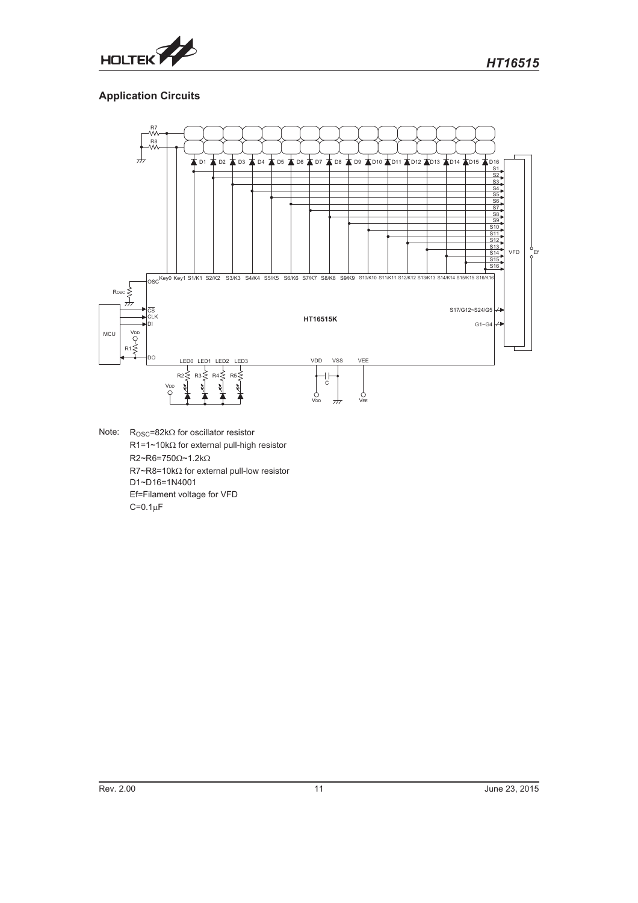

# **Application Circuits**



Note:  $R_{\text{OSC}} = 82k\Omega$  for oscillator resistor  $R1=1~10k\Omega$  for external pull-high resistor  $R2 \sim R6 = 750 \Omega \sim 1.2 \text{k}\Omega$  $R7 - R8 = 10k\Omega$  for external pull-low resistor D1~D16=1N4001 Ef=Filament voltage for VFD  $C=0.1\mu F$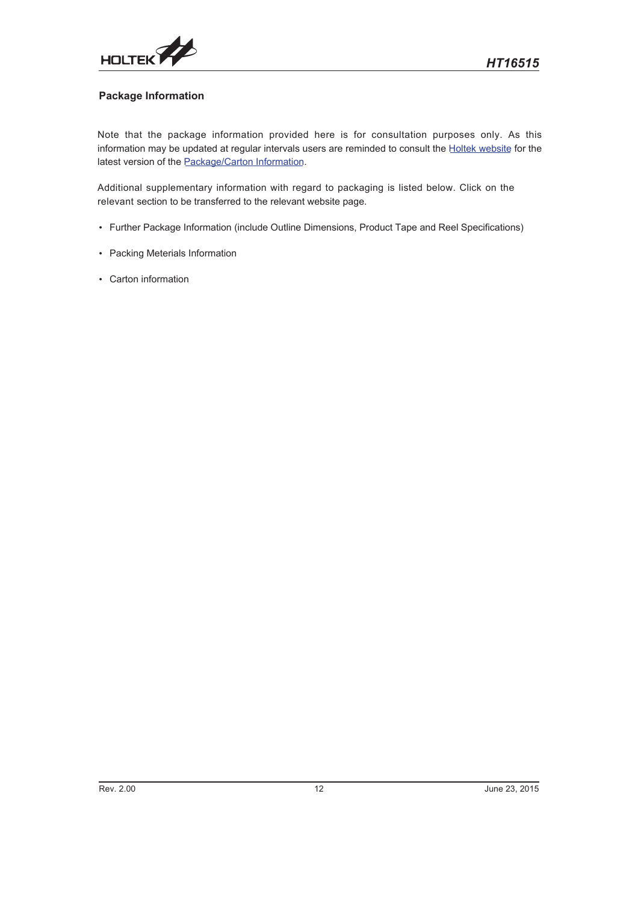

# **Package Information**

Note that the package information provided here is for consultation purposes only. As this information may be updated at regular intervals users are reminded to consult the [Holtek website](http://www.holtek.com/en) for the latest version of the [Package/Carton Information](http://www.holtek.com/en/package_carton_information).

Additional supplementary information with regard to packaging is listed below. Click on the relevant section to be transferred to the relevant website page.

- Further Package Information (include Outline Dimensions, Product Tape and Reel Specifications)
- Packing Meterials Information
- Carton information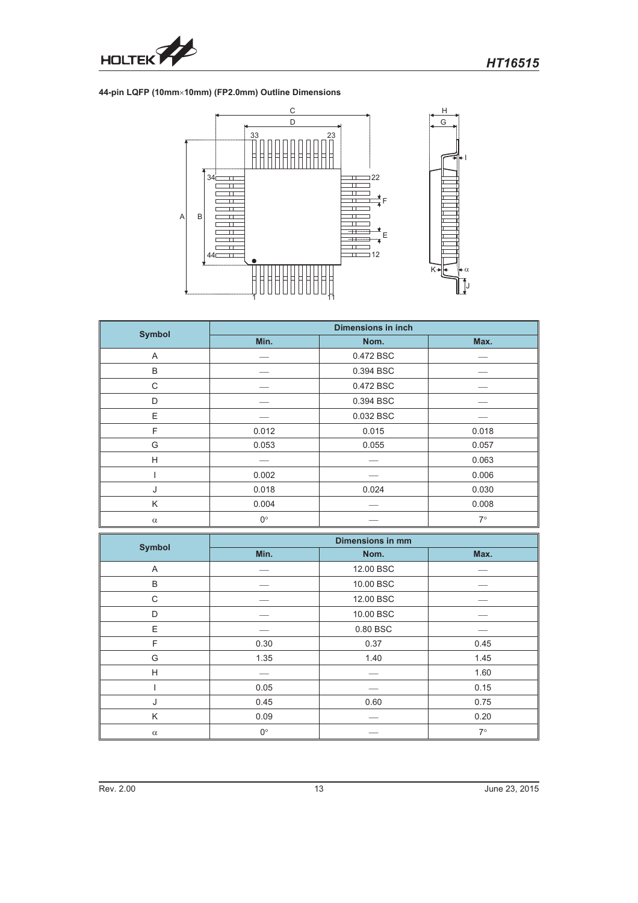

### **44-pin LQFP (10mm-10mm) (FP2.0mm) Outline Dimensions**



| <b>Symbol</b> | <b>Dimensions in inch</b> |           |           |  |  |  |  |
|---------------|---------------------------|-----------|-----------|--|--|--|--|
|               | Min.                      | Nom.      | Max.      |  |  |  |  |
| A             |                           | 0.472 BSC |           |  |  |  |  |
| B             |                           | 0.394 BSC |           |  |  |  |  |
| C             |                           | 0.472 BSC |           |  |  |  |  |
| D             |                           |           |           |  |  |  |  |
| E             |                           | 0.032 BSC |           |  |  |  |  |
| F             | 0.012                     | 0.015     | 0.018     |  |  |  |  |
| G             | 0.053                     | 0.055     | 0.057     |  |  |  |  |
| H             |                           |           | 0.063     |  |  |  |  |
|               | 0.002                     |           | 0.006     |  |  |  |  |
| 0.018<br>J    |                           | 0.024     | 0.030     |  |  |  |  |
| K             | 0.004                     |           | 0.008     |  |  |  |  |
| $\alpha$      | $0^{\circ}$               |           | $7^\circ$ |  |  |  |  |

| <b>Symbol</b> | <b>Dimensions in mm</b> |           |           |  |  |
|---------------|-------------------------|-----------|-----------|--|--|
|               | Min.                    | Nom.      | Max.      |  |  |
| A             |                         | 12.00 BSC |           |  |  |
| B             |                         | 10.00 BSC |           |  |  |
| C             |                         | 12.00 BSC |           |  |  |
| D             |                         | 10.00 BSC |           |  |  |
| E             |                         | 0.80 BSC  |           |  |  |
| F             | 0.30                    | 0.37      | 0.45      |  |  |
| G             | 1.35                    | 1.40      | 1.45      |  |  |
| H             |                         |           | 1.60      |  |  |
|               | 0.05                    |           | 0.15      |  |  |
| J             | 0.45                    | 0.60      | 0.75      |  |  |
| Κ             | 0.09                    |           | 0.20      |  |  |
| $\alpha$      | $0^{\circ}$             |           | $7^\circ$ |  |  |